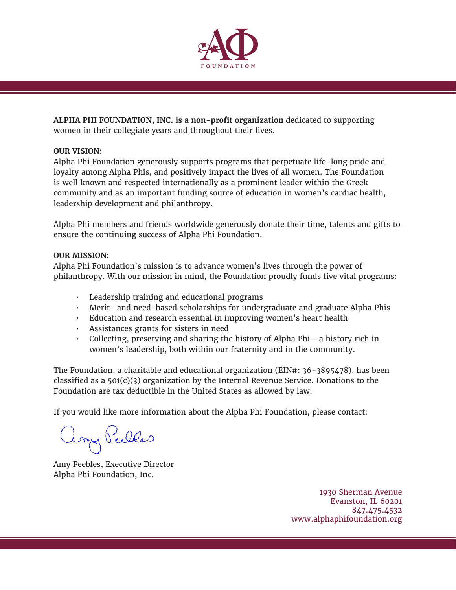

**ALPHA PHI FOUNDATION, INC. is a non-profit organization** dedicated to supporting women in their collegiate years and throughout their lives.

## **OUR VISION:**

Alpha Phi Foundation generously supports programs that perpetuate life-long pride and loyalty among Alpha Phis, and positively impact the lives of all women. The Foundation is well known and respected internationally as a prominent leader within the Greek community and as an important funding source of education in women's cardiac health, leadership development and philanthropy.

Alpha Phi members and friends worldwide generously donate their time, talents and gifts to ensure the continuing success of Alpha Phi Foundation.

## **OUR MISSION:**

Alpha Phi Foundation's mission is to advance women's lives through the power of philanthropy. With our mission in mind, the Foundation proudly funds five vital programs:

- Leadership training and educational programs
- Merit- and need-based scholarships for undergraduate and graduate Alpha Phis
- Education and research essential in improving women's heart health
- Assistances grants for sisters in need
- Collecting, preserving and sharing the history of Alpha Phi—a history rich in women's leadership, both within our fraternity and in the community.

The Foundation, a charitable and educational organization (EIN#: 36-3895478), has been classified as a  $501(c)(3)$  organization by the Internal Revenue Service. Donations to the Foundation are tax deductible in the United States as allowed by law.

If you would like more information about the Alpha Phi Foundation, please contact:

Long Pulles

Amy Peebles, Executive Director Alpha Phi Foundation, Inc.

1930 Sherman Avenue Evanston, IL 60201 847.475.4532 www.alphaphifoundation.org